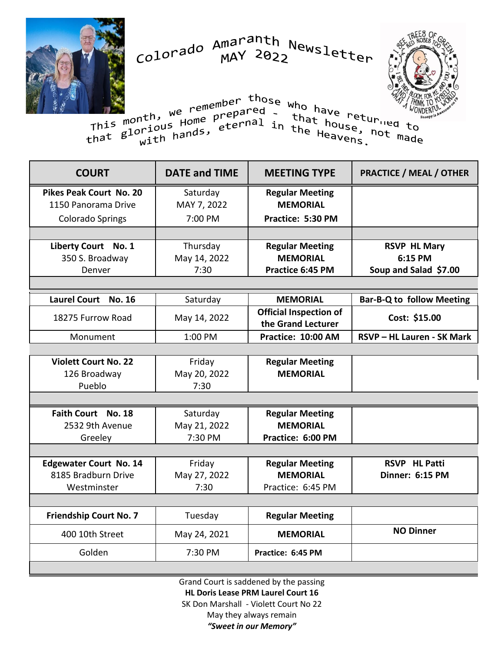Colorado Amaranth Newsletter



who have returned that house, not this month, we remember those who have returned to This month, we remember those<br>that glorious Home prepared -<br>that glorious hands, eternal in <sup>wild</sup> have returied to<br>that house, not made<br>the Heavens. nt<sup>ri,</sup> Home <sup>prer</sup>ernal in that house,<br>prious Home, eternal in the Heavens.

| <b>COURT</b>                  | <b>DATE and TIME</b> | <b>MEETING TYPE</b>                                 | <b>PRACTICE / MEAL / OTHER</b>   |
|-------------------------------|----------------------|-----------------------------------------------------|----------------------------------|
| Pikes Peak Court No. 20       | Saturday             | <b>Regular Meeting</b>                              |                                  |
| 1150 Panorama Drive           | MAY 7, 2022          | <b>MEMORIAL</b>                                     |                                  |
| <b>Colorado Springs</b>       | 7:00 PM              | Practice: 5:30 PM                                   |                                  |
|                               |                      |                                                     |                                  |
| Liberty Court No. 1           | Thursday             | <b>Regular Meeting</b>                              | <b>RSVP HL Mary</b>              |
| 350 S. Broadway               | May 14, 2022         | <b>MEMORIAL</b>                                     | 6:15 PM                          |
| Denver                        | 7:30                 | Practice 6:45 PM                                    | Soup and Salad \$7.00            |
|                               |                      |                                                     |                                  |
| Laurel Court No. 16           | Saturday             | <b>MEMORIAL</b>                                     | <b>Bar-B-Q to follow Meeting</b> |
| 18275 Furrow Road             | May 14, 2022         | <b>Official Inspection of</b><br>the Grand Lecturer | Cost: \$15.00                    |
| Monument                      | 1:00 PM              | Practice: 10:00 AM                                  | RSVP - HL Lauren - SK Mark       |
|                               |                      |                                                     |                                  |
| <b>Violett Court No. 22</b>   | Friday               | <b>Regular Meeting</b>                              |                                  |
| 126 Broadway                  | May 20, 2022         | <b>MEMORIAL</b>                                     |                                  |
| Pueblo                        | 7:30                 |                                                     |                                  |
|                               |                      |                                                     |                                  |
| Faith Court No. 18            | Saturday             | <b>Regular Meeting</b>                              |                                  |
| 2532 9th Avenue               | May 21, 2022         | <b>MEMORIAL</b>                                     |                                  |
| Greeley                       | 7:30 PM              | Practice: 6:00 PM                                   |                                  |
|                               |                      |                                                     |                                  |
| <b>Edgewater Court No. 14</b> | Friday               | <b>Regular Meeting</b>                              | <b>RSVP HL Patti</b>             |
| 8185 Bradburn Drive           | May 27, 2022         | <b>MEMORIAL</b>                                     | Dinner: 6:15 PM                  |
| Westminster                   | 7:30                 | Practice: 6:45 PM                                   |                                  |
|                               |                      |                                                     |                                  |
| <b>Friendship Court No. 7</b> | Tuesday              | <b>Regular Meeting</b>                              |                                  |
| 400 10th Street               | May 24, 2021         | <b>MEMORIAL</b>                                     | <b>NO Dinner</b>                 |
| Golden                        | 7:30 PM              | Practice: 6:45 PM                                   |                                  |

Grand Court is saddened by the passing **HL Doris Lease PRM Laurel Court 16** SK Don Marshall - Violett Court No 22 May they always remain *"Sweet in our Memory"*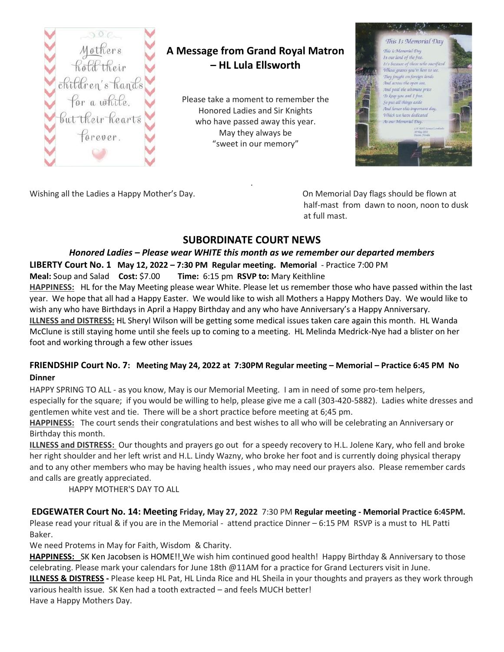

### **A Message from Grand Royal Matron – HL Lula Ellsworth**

Please take a moment to remember the Honored Ladies and Sir Knights who have passed away this year. May they always be "sweet in our memory"



Wishing all the Ladies a Happy Mother's Day. On Memorial Day flags should be flown at

half-mast from dawn to noon, noon to dusk at full mast.

#### **SUBORDINATE COURT NEWS**

.

#### *Honored Ladies – Please wear WHITE this month as we remember our departed members*

**LIBERTY Court No. 1 May 12, 2022 – 7:30 PM Regular meeting. Memorial** - Practice 7:00 PM

**Meal:** Soup and Salad **Cost:** \$7.00 **Time:** 6:15 pm **RSVP to:** Mary Keithline

**HAPPINESS:** HL for the May Meeting please wear White. Please let us remember those who have passed within the last year. We hope that all had a Happy Easter. We would like to wish all Mothers a Happy Mothers Day. We would like to wish any who have Birthdays in April a Happy Birthday and any who have Anniversary's a Happy Anniversary. **ILLNESS and DISTRESS:** HL Sheryl Wilson will be getting some medical issues taken care again this month. HL Wanda McClune is still staying home until she feels up to coming to a meeting. HL Melinda Medrick-Nye had a blister on her foot and working through a few other issues

# **FRIENDSHIP Court No. 7: Meeting May 24, 2022 at 7:30PM Regular meeting – Memorial – Practice 6:45 PM No**

#### **Dinner**

HAPPY SPRING TO ALL - as you know, May is our Memorial Meeting. I am in need of some pro-tem helpers, especially for the square; if you would be willing to help, please give me a call (303-420-5882). Ladies white dresses and gentlemen white vest and tie. There will be a short practice before meeting at 6;45 pm.

**HAPPINESS:** The court sends their congratulations and best wishes to all who will be celebrating an Anniversary or Birthday this month.

**ILLNESS and DISTRESS:** Our thoughts and prayers go out for a speedy recovery to H.L. Jolene Kary, who fell and broke her right shoulder and her left wrist and H.L. Lindy Wazny, who broke her foot and is currently doing physical therapy and to any other members who may be having health issues , who may need our prayers also. Please remember cards and calls are greatly appreciated.

HAPPY MOTHER'S DAY TO ALL

**EDGEWATER Court No. 14: Meeting Friday, May 27, 2022** 7:30 PM **Regular meeting - Memorial Practice 6:45PM.** Please read your ritual & if you are in the Memorial - attend practice Dinner – 6:15 PM RSVP is a must to HL Patti Baker.

We need Protems in May for Faith, Wisdom & Charity.

**HAPPINESS:** SK Ken Jacobsen is HOME!! We wish him continued good health! Happy Birthday & Anniversary to those celebrating. Please mark your calendars for June 18th @11AM for a practice for Grand Lecturers visit in June. **ILLNESS & DISTRESS -** Please keep HL Pat, HL Linda Rice and HL Sheila in your thoughts and prayers as they work through various health issue. SK Ken had a tooth extracted – and feels MUCH better! Have a Happy Mothers Day.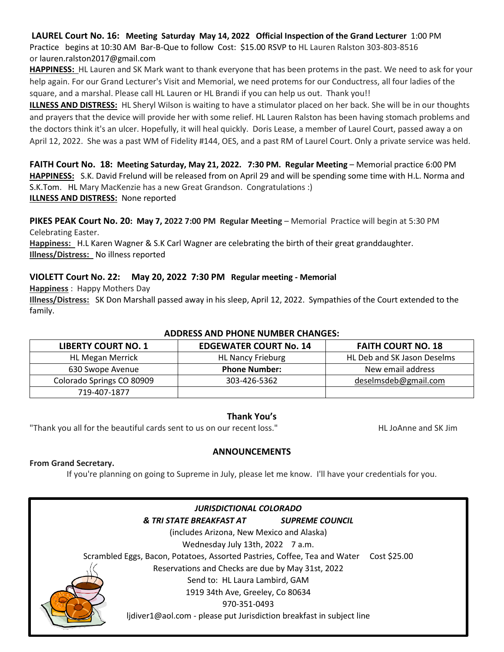**LAUREL Court No. 16: Meeting Saturday May 14, 2022 Official Inspection of the Grand Lecturer** 1:00 PM Practice begins at 10:30 AM Bar-B-Que to follow Cost: \$15.00 RSVP to HL Lauren Ralston 303-803-8516 or [lauren.ralston2017@gmail.com](mailto:lauren.ralston2017@gmail.com)

**HAPPINESS:** HL Lauren and SK Mark want to thank everyone that has been protems in the past. We need to ask for your help again. For our Grand Lecturer's Visit and Memorial, we need protems for our Conductress, all four ladies of the square, and a marshal. Please call HL Lauren or HL Brandi if you can help us out. Thank you!!

**ILLNESS AND DISTRESS:** HL Sheryl Wilson is waiting to have a stimulator placed on her back. She will be in our thoughts and prayers that the device will provide her with some relief. HL Lauren Ralston has been having stomach problems and the doctors think it's an ulcer. Hopefully, it will heal quickly. Doris Lease, a member of Laurel Court, passed away a on April 12, 2022. She was a past WM of Fidelity #144, OES, and a past RM of Laurel Court. Only a private service was held.

**FAITH Court No. 18: Meeting Saturday, May 21, 2022. 7:30 PM. Regular Meeting** – Memorial practice 6:00 PM **HAPPINESS:** S.K. David Frelund will be released from on April 29 and will be spending some time with H.L. Norma and S.K.Tom. HL Mary MacKenzie has a new Great Grandson. Congratulations :) **ILLNESS AND DISTRESS:** None reported

**PIKES PEAK Court No. 20: May 7, 2022 7:00 PM Regular Meeting** – Memorial Practice will begin at 5:30 PM Celebrating Easter.

**Happiness:** H.L Karen Wagner & S.K Carl Wagner are celebrating the birth of their great granddaughter. **Illness/Distress:** No illness reported

#### **VIOLETT Court No. 22: May 20, 2022 7:30 PM Regular meeting - Memorial**

**Happiness** : Happy Mothers Day

**Illness/Distress:** SK Don Marshall passed away in his sleep, April 12, 2022. Sympathies of the Court extended to the family.

| <b>ADDRESS AND PHONE NUMBER CHANGES:</b> |                               |                             |  |  |  |  |
|------------------------------------------|-------------------------------|-----------------------------|--|--|--|--|
| <b>LIBERTY COURT NO. 1</b>               | <b>EDGEWATER COURT No. 14</b> | <b>FAITH COURT NO. 18</b>   |  |  |  |  |
| <b>HL Megan Merrick</b>                  | <b>HL Nancy Frieburg</b>      | HL Deb and SK Jason Deselms |  |  |  |  |
| 630 Swope Avenue                         | <b>Phone Number:</b>          | New email address           |  |  |  |  |
| Colorado Springs CO 80909                | 303-426-5362                  | deselmsdeb@gmail.com        |  |  |  |  |
| 719-407-1877                             |                               |                             |  |  |  |  |

#### **Thank You's**

"Thank you all for the beautiful cards sent to us on our recent loss." HL JoAnne and SK Jim

#### **ANNOUNCEMENTS**

#### **From Grand Secretary.**

If you're planning on going to Supreme in July, please let me know. I'll have your credentials for you.

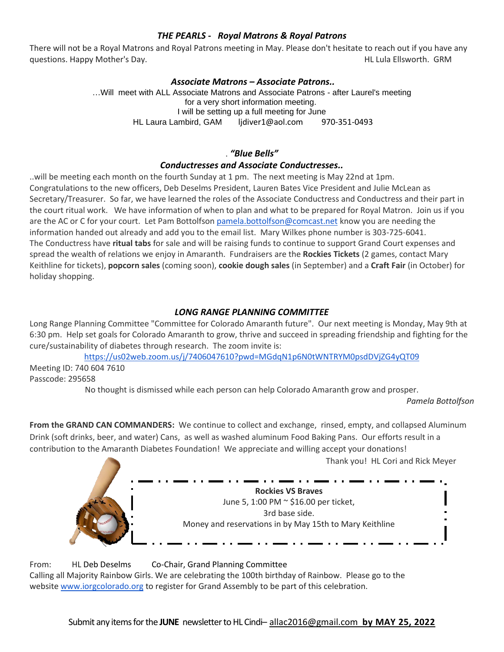#### *THE PEARLS - Royal Matrons & Royal Patrons*

There will not be a Royal Matrons and Royal Patrons meeting in May. Please don't hesitate to reach out if you have any questions. Happy Mother's Day. Notice that the control of the control of the control of the control of the control of the control of the control of the control of the control of the control of the control of the control of

#### *Associate Matrons – Associate Patrons..*

…Will meet with ALL Associate Matrons and Associate Patrons - after Laurel's meeting for a very short information meeting. I will be setting up a full meeting for June HL Laura Lambird, GAM lidiver1@aol.com 970-351-0493

#### . *"Blue Bells"*

#### *Conductresses and Associate Conductresses..*

..will be meeting each month on the fourth Sunday at 1 pm. The next meeting is May 22nd at 1pm. Congratulations to the new officers, Deb Deselms President, Lauren Bates Vice President and Julie McLean as Secretary/Treasurer. So far, we have learned the roles of the Associate Conductress and Conductress and their part in the court ritual work. We have information of when to plan and what to be prepared for Royal Matron. Join us if you are the AC or C for your court. Let Pam Bottolfson [pamela.bottolfson@comcast.net](mailto:pamela.bottolfson@comcast.net) know you are needing the information handed out already and add you to the email list. Mary Wilkes phone number is 303-725-6041. The Conductress have **ritual tabs** for sale and will be raising funds to continue to support Grand Court expenses and spread the wealth of relations we enjoy in Amaranth. Fundraisers are the **Rockies Tickets** (2 games, contact Mary Keithline for tickets), **popcorn sales** (coming soon), **cookie dough sales** (in September) and a **Craft Fair** (in October) for holiday shopping.

#### *LONG RANGE PLANNING COMMITTEE*

Long Range Planning Committee "Committee for Colorado Amaranth future". Our next meeting is Monday, May 9th at 6:30 pm. Help set goals for Colorado Amaranth to grow, thrive and succeed in spreading friendship and fighting for the cure/sustainability of diabetes through research. The zoom invite is:

<https://us02web.zoom.us/j/7406047610?pwd=MGdqN1p6N0tWNTRYM0psdDVjZG4yQT09>

Meeting ID: 740 604 7610 Passcode: 295658

No thought is dismissed while each person can help Colorado Amaranth grow and prosper.

*Pamela Bottolfson*

**From the GRAND CAN COMMANDERS:** We continue to collect and exchange, rinsed, empty, and collapsed Aluminum Drink (soft drinks, beer, and water) Cans, as well as washed aluminum Food Baking Pans. Our efforts result in a contribution to the Amaranth Diabetes Foundation! We appreciate and willing accept your donations!

Thank you! HL Cori and Rick Meyer



From: HL Deb Deselms Co-Chair, Grand Planning Committee Calling all Majority Rainbow Girls. We are celebrating the 100th birthday of Rainbow. Please go to the website [www.iorgcolorado.org](http://www.iorgcolorado.org/) to register for Grand Assembly to be part of this celebration.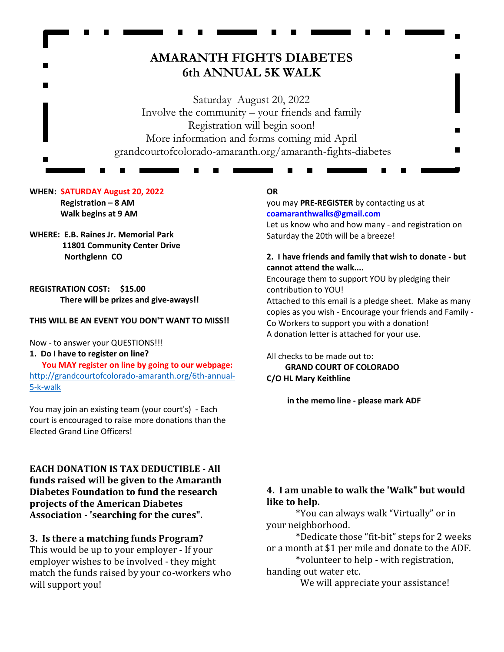## **AMARANTH FIGHTS DIABETES 6th ANNUAL 5K WALK**

Saturday August 20, 2022 Involve the community – your friends and family Registration will begin soon! More information and forms coming mid April grandcourtofcolorado-amaranth.org/amaranth-fights-diabetes

#### **WHEN: SATURDAY August 20, 2022 Registration – 8 AM Walk begins at 9 AM**

#### **WHERE: E.B. Raines Jr. Memorial Park 11801 Community Center Drive Northglenn CO**

**REGISTRATION COST: \$15.00 There will be prizes and give-aways!!**

#### **THIS WILL BE AN EVENT YOU DON'T WANT TO MISS!!**

Now - to answer your QUESTIONS!!!

#### **1. Do I have to register on line? You MAY register on line by going to our webpage:** [http://grandcourtofcolorado-amaranth.org/6th-annual-](http://grandcourtofcolorado-amaranth.org/6th-annual-5-k-walk)[5-k-walk](http://grandcourtofcolorado-amaranth.org/6th-annual-5-k-walk)

You may join an existing team (your court's) - Each court is encouraged to raise more donations than the Elected Grand Line Officers!

**EACH DONATION IS TAX DEDUCTIBLE - All funds raised will be given to the Amaranth Diabetes Foundation to fund the research projects of the American Diabetes Association - 'searching for the cures".**

#### **3. Is there a matching funds Program?**

This would be up to your employer - If your employer wishes to be involved - they might match the funds raised by your co-workers who will support you!

#### **OR**

you may **PRE-REGISTER** by contacting us at **[coamaranthwalks@gmail.com](mailto:coamaranthwalks@gmail.com)**

Let us know who and how many - and registration on Saturday the 20th will be a breeze!

#### **2. I have friends and family that wish to donate - but cannot attend the walk....**

Encourage them to support YOU by pledging their contribution to YOU!

Attached to this email is a pledge sheet. Make as many copies as you wish - Encourage your friends and Family - Co Workers to support you with a donation! A donation letter is attached for your use.

All checks to be made out to:  **GRAND COURT OF COLORADO C/O HL Mary Keithline**

 **in the memo line - please mark ADF**

#### **4. I am unable to walk the 'Walk" but would like to help.**

\*You can always walk "Virtually" or in your neighborhood.

\*Dedicate those "fit-bit" steps for 2 weeks or a month at \$1 per mile and donate to the ADF.

\*volunteer to help - with registration, handing out water etc.

We will appreciate your assistance!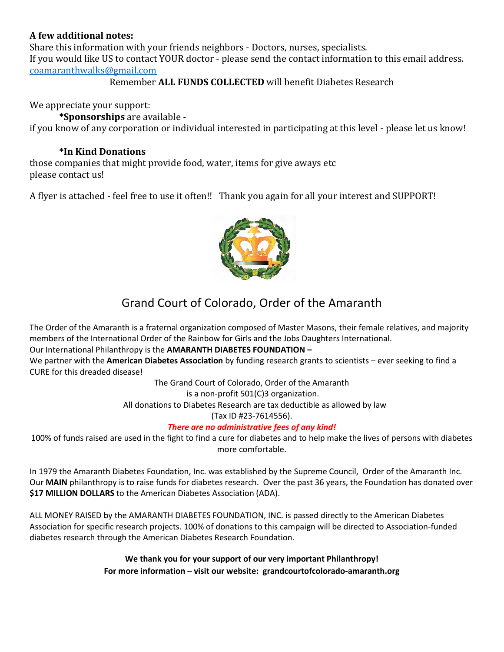#### **A few additional notes:**

Share this information with your friends neighbors - Doctors, nurses, specialists. If you would like US to contact YOUR doctor - please send the contact information to this email address. [coamaranthwalks@gmail.com](mailto:coamaranthwalks@gmail.com)

Remember **ALL FUNDS COLLECTED** will benefit Diabetes Research

We appreciate your support:

**\*Sponsorships** are available if you know of any corporation or individual interested in participating at this level - please let us know!

#### **\*In Kind Donations**

those companies that might provide food, water, items for give aways etc please contact us!

A flyer is attached - feel free to use it often!! Thank you again for all your interest and SUPPORT!



## Grand Court of Colorado, Order of the Amaranth

The Order of the Amaranth is a fraternal organization composed of Master Masons, their female relatives, and majority members of the International Order of the Rainbow for Girls and the Jobs Daughters International.

#### Our International Philanthropy is the **AMARANTH DIABETES FOUNDATION –**

We partner with the **American Diabetes Association** by funding research grants to scientists – ever seeking to find a CURE for this dreaded disease!

The Grand Court of Colorado, Order of the Amaranth

is a non-profit 501(C)3 organization.

All donations to Diabetes Research are tax deductible as allowed by law

(Tax ID #23-7614556).

#### *There are no administrative fees of any kind!*

100% of funds raised are used in the fight to find a cure for diabetes and to help make the lives of persons with diabetes more comfortable.

In 1979 the Amaranth Diabetes Foundation, Inc. was established by the Supreme Council, Order of the Amaranth Inc. Our **MAIN** philanthropy is to raise funds for diabetes research. Over the past 36 years, the Foundation has donated over **\$17 MILLION DOLLARS** to the American Diabetes Association (ADA).

ALL MONEY RAISED by the AMARANTH DIABETES FOUNDATION, INC. is passed directly to the American Diabetes Association for specific research projects. 100% of donations to this campaign will be directed to Association-funded diabetes research through the American Diabetes Research Foundation.

> **We thank you for your support of our very important Philanthropy! For more information – visit our website: grandcourtofcolorado-amaranth.org**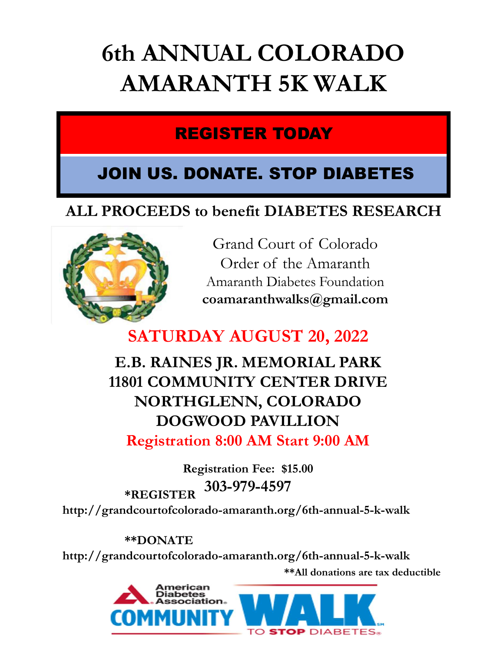# 6th ANNUAL COLORADO AMARANTH 5K WALK INUAL COLORADO<br>RANTH 5K WALK<br>REGISTER TODAY<br>DONATE. STOP DIABETES

## JOIN US. DONATE. STOP DIABETES

## ALL PROCEEDS to benefit DIABETES RESEARCH



JAL COLORADO<br>
NTH 5K WALK<br>
STER TODAY<br>
NATE. STOP DIABETES<br>
benefit DIABETES RESEARCH<br>
Grand Court of Colorado<br>
Order of the Amaranth<br>
maranth Diabetes Foundation<br>
pamaranth Diabetes Foundation<br>
pamaranthwalks@gmail.com **STER TODAY<br>
STER TODAY<br>
IATE. STOP DIABETES**<br>
enefit DIABETES RESEARCH<br>
Frand Court of Colorado<br>
Order of the Amaranth<br>
maranth Diabetes Foundation<br>
smaranth Diabetes Foundation<br>
smaranthwalks@gmail.com Amaranth Diabetes Foundation coamaranthwalks@gmail.com

## SATURDAY AUGUST 20, 2022

E.B. RAINES JR. MEMORIAL PARK 11801 COMMUNITY CENTER DRIVE NORTHGLENN, COLORADO DOGWOOD PAVILLION Registration 8:00 AM Start 9:00 AM

Registration Fee: \$15.00 303-979-4597 \*REGISTER http://grandcourtofcolorado-amaranth.org/6th-annual-5-k-walk

\*\*All donations are tax deductible \*\*DONATE http://grandcourtofcolorado-amaranth.org/6th-annual-5-k-walk